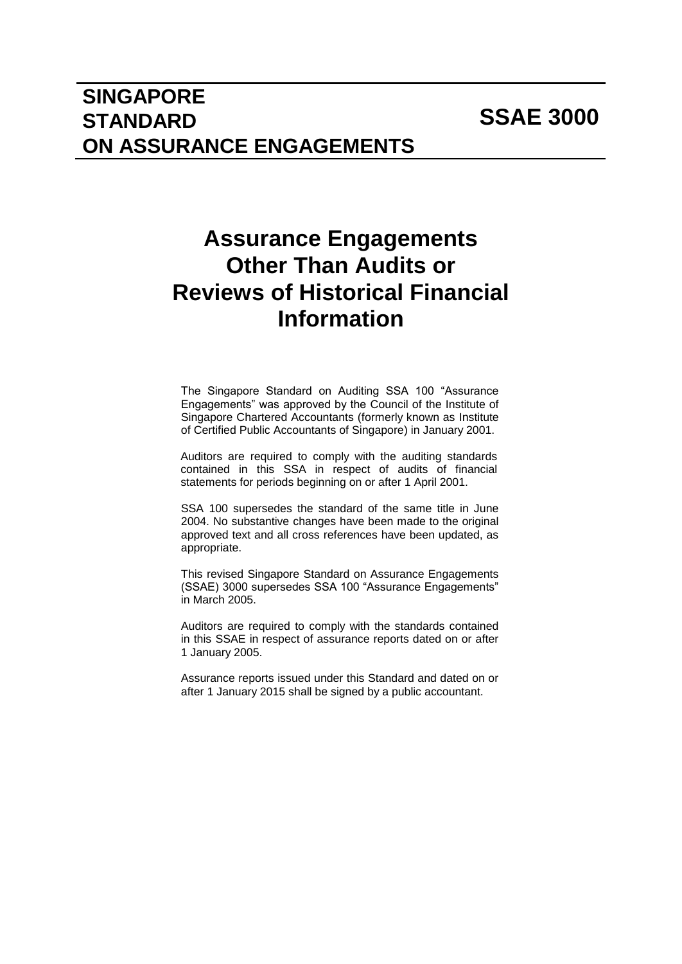# **SSAE 3000**

# **Assurance Engagements Other Than Audits or Reviews of Historical Financial Information**

The Singapore Standard on Auditing SSA 100 "Assurance Engagements" was approved by the Council of the Institute of Singapore Chartered Accountants (formerly known as Institute of Certified Public Accountants of Singapore) in January 2001.

Auditors are required to comply with the auditing standards contained in this SSA in respect of audits of financial statements for periods beginning on or after 1 April 2001.

SSA 100 supersedes the standard of the same title in June 2004. No substantive changes have been made to the original approved text and all cross references have been updated, as appropriate.

This revised Singapore Standard on Assurance Engagements (SSAE) 3000 supersedes SSA 100 "Assurance Engagements" in March 2005.

Auditors are required to comply with the standards contained in this SSAE in respect of assurance reports dated on or after 1 January 2005.

Assurance reports issued under this Standard and dated on or after 1 January 2015 shall be signed by a public accountant.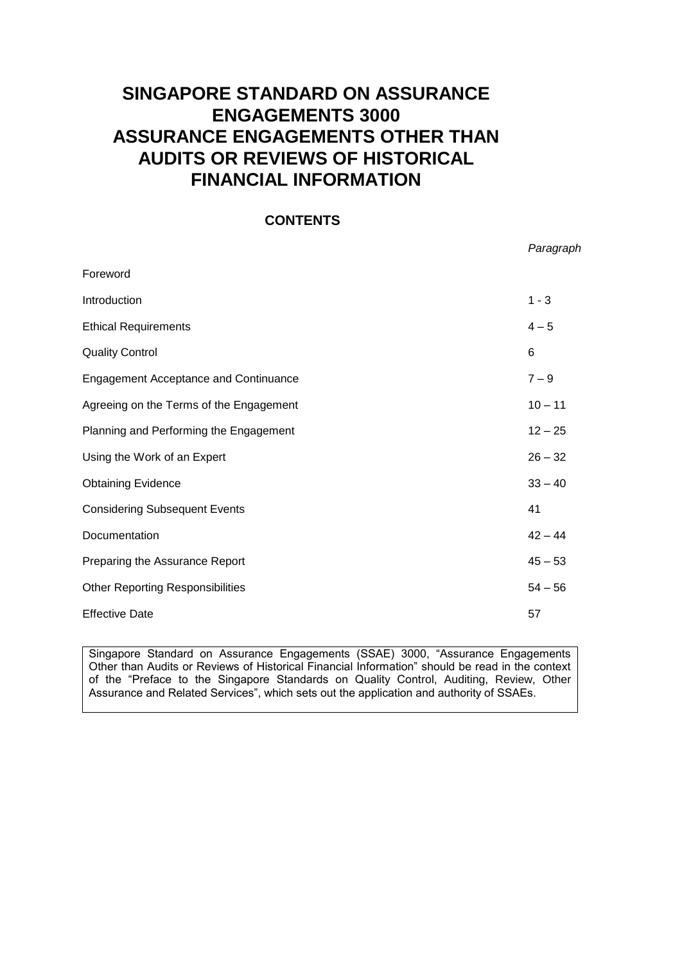# **SINGAPORE STANDARD ON ASSURANCE ENGAGEMENTS 3000 ASSURANCE ENGAGEMENTS OTHER THAN AUDITS OR REVIEWS OF HISTORICAL FINANCIAL INFORMATION**

#### **CONTENTS**

*Paragraph*

| Foreword                                     |           |
|----------------------------------------------|-----------|
| Introduction                                 | $1 - 3$   |
| <b>Ethical Requirements</b>                  | $4 - 5$   |
| <b>Quality Control</b>                       | 6         |
| <b>Engagement Acceptance and Continuance</b> | $7 - 9$   |
| Agreeing on the Terms of the Engagement      | $10 - 11$ |
| Planning and Performing the Engagement       | $12 - 25$ |
| Using the Work of an Expert                  | $26 - 32$ |
| <b>Obtaining Evidence</b>                    | $33 - 40$ |
| <b>Considering Subsequent Events</b>         | 41        |
| Documentation                                | $42 - 44$ |
| Preparing the Assurance Report               | $45 - 53$ |
| <b>Other Reporting Responsibilities</b>      | $54 - 56$ |
| <b>Effective Date</b>                        | 57        |

Singapore Standard on Assurance Engagements (SSAE) 3000, "Assurance Engagements Other than Audits or Reviews of Historical Financial Information" should be read in the context of the "Preface to the Singapore Standards on Quality Control, Auditing, Review, Other Assurance and Related Services", which sets out the application and authority of SSAEs.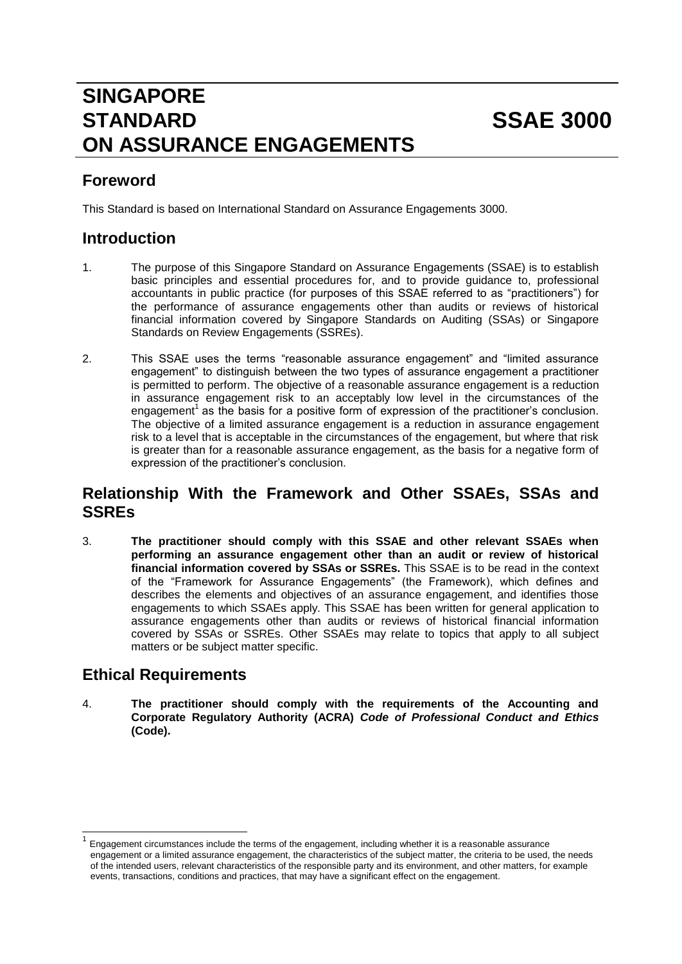# **SINGAPORE STANDARD ON ASSURANCE ENGAGEMENTS**

# **Foreword**

This Standard is based on International Standard on Assurance Engagements 3000.

# **Introduction**

- 1. The purpose of this Singapore Standard on Assurance Engagements (SSAE) is to establish basic principles and essential procedures for, and to provide guidance to, professional accountants in public practice (for purposes of this SSAE referred to as "practitioners") for the performance of assurance engagements other than audits or reviews of historical financial information covered by Singapore Standards on Auditing (SSAs) or Singapore Standards on Review Engagements (SSREs).
- 2. This SSAE uses the terms "reasonable assurance engagement" and "limited assurance engagement" to distinguish between the two types of assurance engagement a practitioner is permitted to perform. The objective of a reasonable assurance engagement is a reduction in assurance engagement risk to an acceptably low level in the circumstances of the engagement<sup>1</sup> as the basis for a positive form of expression of the practitioner's conclusion. The objective of a limited assurance engagement is a reduction in assurance engagement risk to a level that is acceptable in the circumstances of the engagement, but where that risk is greater than for a reasonable assurance engagement, as the basis for a negative form of expression of the practitioner's conclusion.

# **Relationship With the Framework and Other SSAEs, SSAs and SSREs**

3. **The practitioner should comply with this SSAE and other relevant SSAEs when performing an assurance engagement other than an audit or review of historical financial information covered by SSAs or SSREs.** This SSAE is to be read in the context of the "Framework for Assurance Engagements" (the Framework), which defines and describes the elements and objectives of an assurance engagement, and identifies those engagements to which SSAEs apply. This SSAE has been written for general application to assurance engagements other than audits or reviews of historical financial information covered by SSAs or SSREs. Other SSAEs may relate to topics that apply to all subject matters or be subject matter specific.

# **Ethical Requirements**

 $\overline{\phantom{a}}$ 

4. **The practitioner should comply with the requirements of the Accounting and Corporate Regulatory Authority (ACRA)** *Code of Professional Conduct and Ethics* **(Code).**

<sup>1</sup> Engagement circumstances include the terms of the engagement, including whether it is a reasonable assurance engagement or a limited assurance engagement, the characteristics of the subject matter, the criteria to be used, the needs of the intended users, relevant characteristics of the responsible party and its environment, and other matters, for example events, transactions, conditions and practices, that may have a significant effect on the engagement.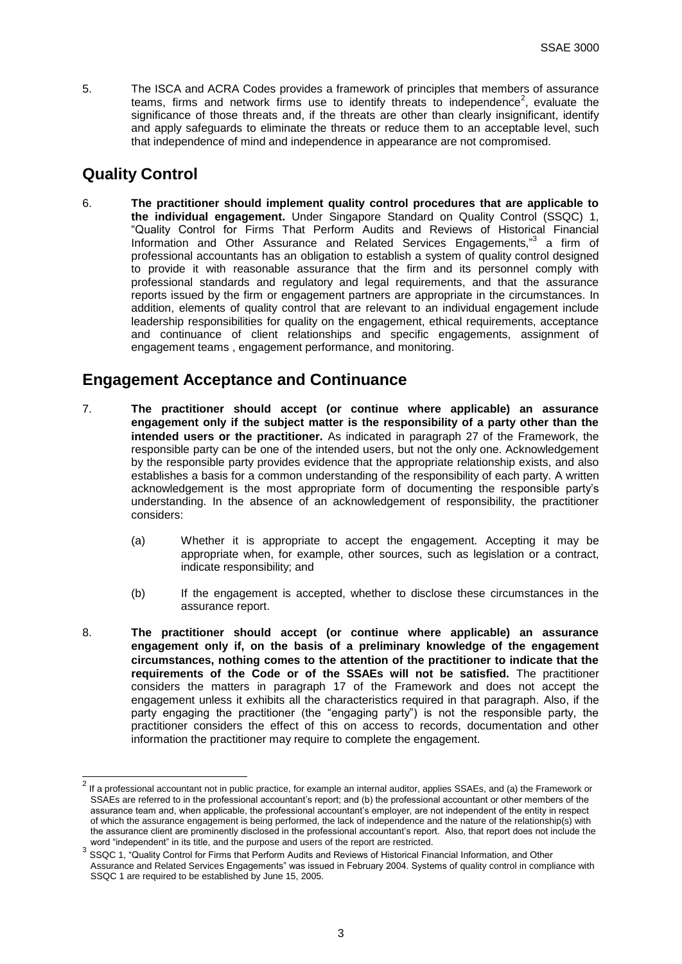5. The ISCA and ACRA Codes provides a framework of principles that members of assurance teams, firms and network firms use to identify threats to independence<sup>2</sup>, evaluate the significance of those threats and, if the threats are other than clearly insignificant, identify and apply safeguards to eliminate the threats or reduce them to an acceptable level, such that independence of mind and independence in appearance are not compromised.

# **Quality Control**

6. **The practitioner should implement quality control procedures that are applicable to the individual engagement.** Under Singapore Standard on Quality Control (SSQC) 1, "Quality Control for Firms That Perform Audits and Reviews of Historical Financial Information and Other Assurance and Related Services Engagements,"<sup>3</sup> a firm of professional accountants has an obligation to establish a system of quality control designed to provide it with reasonable assurance that the firm and its personnel comply with professional standards and regulatory and legal requirements, and that the assurance reports issued by the firm or engagement partners are appropriate in the circumstances. In addition, elements of quality control that are relevant to an individual engagement include leadership responsibilities for quality on the engagement, ethical requirements, acceptance and continuance of client relationships and specific engagements, assignment of engagement teams , engagement performance, and monitoring.

### **Engagement Acceptance and Continuance**

- 7. **The practitioner should accept (or continue where applicable) an assurance engagement only if the subject matter is the responsibility of a party other than the intended users or the practitioner.** As indicated in paragraph 27 of the Framework, the responsible party can be one of the intended users, but not the only one. Acknowledgement by the responsible party provides evidence that the appropriate relationship exists, and also establishes a basis for a common understanding of the responsibility of each party. A written acknowledgement is the most appropriate form of documenting the responsible party's understanding. In the absence of an acknowledgement of responsibility, the practitioner considers:
	- (a) Whether it is appropriate to accept the engagement. Accepting it may be appropriate when, for example, other sources, such as legislation or a contract, indicate responsibility; and
	- (b) If the engagement is accepted, whether to disclose these circumstances in the assurance report.
- 8. **The practitioner should accept (or continue where applicable) an assurance engagement only if, on the basis of a preliminary knowledge of the engagement circumstances, nothing comes to the attention of the practitioner to indicate that the requirements of the Code or of the SSAEs will not be satisfied.** The practitioner considers the matters in paragraph 17 of the Framework and does not accept the engagement unless it exhibits all the characteristics required in that paragraph. Also, if the party engaging the practitioner (the "engaging party") is not the responsible party, the practitioner considers the effect of this on access to records, documentation and other information the practitioner may require to complete the engagement.

 2 If a professional accountant not in public practice, for example an internal auditor, applies SSAEs, and (a) the Framework or SSAEs are referred to in the professional accountant's report; and (b) the professional accountant or other members of the assurance team and, when applicable, the professional accountant's employer, are not independent of the entity in respect of which the assurance engagement is being performed, the lack of independence and the nature of the relationship(s) with the assurance client are prominently disclosed in the professional accountant's report. Also, that report does not include the word "independent" in its title, and the purpose and users of the report are restricted.

<sup>&</sup>lt;sup>3</sup> SSQC 1, "Quality Control for Firms that Perform Audits and Reviews of Historical Financial Information, and Other Assurance and Related Services Engagements" was issued in February 2004. Systems of quality control in compliance with SSQC 1 are required to be established by June 15, 2005.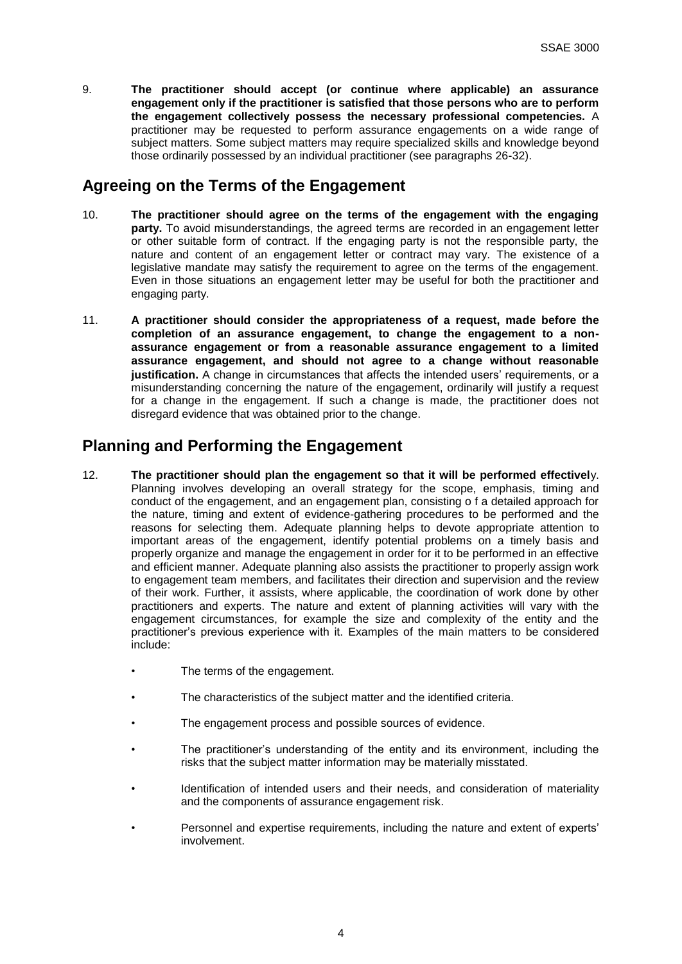9. **The practitioner should accept (or continue where applicable) an assurance engagement only if the practitioner is satisfied that those persons who are to perform the engagement collectively possess the necessary professional competencies.** A practitioner may be requested to perform assurance engagements on a wide range of subject matters. Some subject matters may require specialized skills and knowledge beyond those ordinarily possessed by an individual practitioner (see paragraphs 26-32).

# **Agreeing on the Terms of the Engagement**

- 10. **The practitioner should agree on the terms of the engagement with the engaging party.** To avoid misunderstandings, the agreed terms are recorded in an engagement letter or other suitable form of contract. If the engaging party is not the responsible party, the nature and content of an engagement letter or contract may vary. The existence of a legislative mandate may satisfy the requirement to agree on the terms of the engagement. Even in those situations an engagement letter may be useful for both the practitioner and engaging party.
- 11. **A practitioner should consider the appropriateness of a request, made before the completion of an assurance engagement, to change the engagement to a nonassurance engagement or from a reasonable assurance engagement to a limited assurance engagement, and should not agree to a change without reasonable justification.** A change in circumstances that affects the intended users' requirements, or a misunderstanding concerning the nature of the engagement, ordinarily will justify a request for a change in the engagement. If such a change is made, the practitioner does not disregard evidence that was obtained prior to the change.

# **Planning and Performing the Engagement**

- 12. **The practitioner should plan the engagement so that it will be performed effectivel**y. Planning involves developing an overall strategy for the scope, emphasis, timing and conduct of the engagement, and an engagement plan, consisting o f a detailed approach for the nature, timing and extent of evidence-gathering procedures to be performed and the reasons for selecting them. Adequate planning helps to devote appropriate attention to important areas of the engagement, identify potential problems on a timely basis and properly organize and manage the engagement in order for it to be performed in an effective and efficient manner. Adequate planning also assists the practitioner to properly assign work to engagement team members, and facilitates their direction and supervision and the review of their work. Further, it assists, where applicable, the coordination of work done by other practitioners and experts. The nature and extent of planning activities will vary with the engagement circumstances, for example the size and complexity of the entity and the practitioner's previous experience with it. Examples of the main matters to be considered include:
	- The terms of the engagement.
	- The characteristics of the subject matter and the identified criteria.
	- The engagement process and possible sources of evidence.
	- The practitioner's understanding of the entity and its environment, including the risks that the subject matter information may be materially misstated.
	- Identification of intended users and their needs, and consideration of materiality and the components of assurance engagement risk.
	- Personnel and expertise requirements, including the nature and extent of experts' involvement.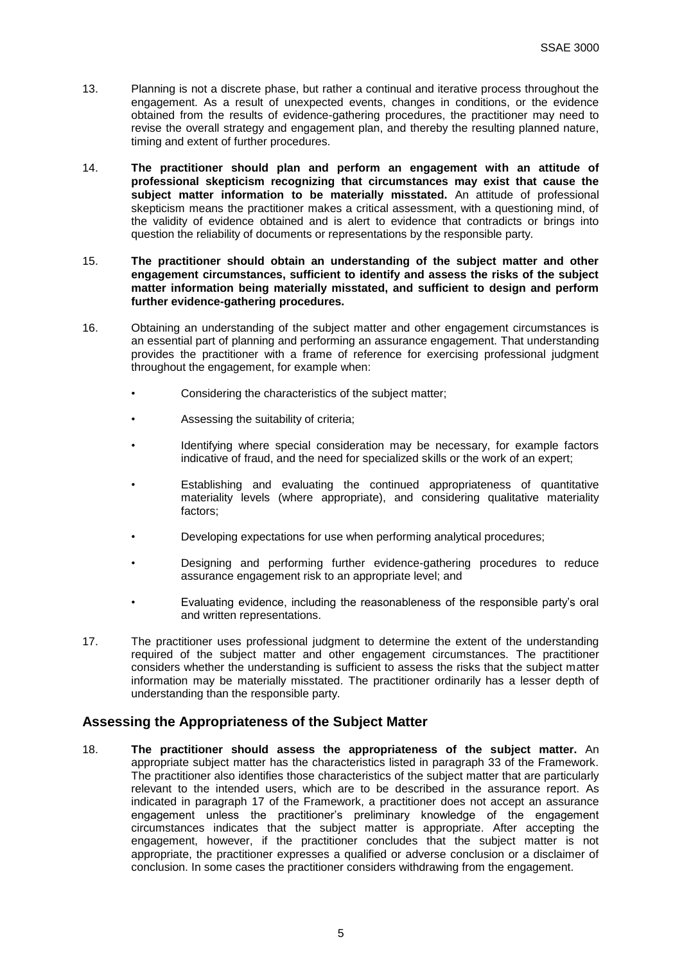- 13. Planning is not a discrete phase, but rather a continual and iterative process throughout the engagement. As a result of unexpected events, changes in conditions, or the evidence obtained from the results of evidence-gathering procedures, the practitioner may need to revise the overall strategy and engagement plan, and thereby the resulting planned nature, timing and extent of further procedures.
- 14. **The practitioner should plan and perform an engagement with an attitude of professional skepticism recognizing that circumstances may exist that cause the subject matter information to be materially misstated.** An attitude of professional skepticism means the practitioner makes a critical assessment, with a questioning mind, of the validity of evidence obtained and is alert to evidence that contradicts or brings into question the reliability of documents or representations by the responsible party.
- 15. **The practitioner should obtain an understanding of the subject matter and other engagement circumstances, sufficient to identify and assess the risks of the subject matter information being materially misstated, and sufficient to design and perform further evidence-gathering procedures.**
- 16. Obtaining an understanding of the subject matter and other engagement circumstances is an essential part of planning and performing an assurance engagement. That understanding provides the practitioner with a frame of reference for exercising professional judgment throughout the engagement, for example when:
	- Considering the characteristics of the subject matter;
	- Assessing the suitability of criteria;
	- Identifying where special consideration may be necessary, for example factors indicative of fraud, and the need for specialized skills or the work of an expert;
	- Establishing and evaluating the continued appropriateness of quantitative materiality levels (where appropriate), and considering qualitative materiality factors;
	- Developing expectations for use when performing analytical procedures;
	- Designing and performing further evidence-gathering procedures to reduce assurance engagement risk to an appropriate level; and
	- Evaluating evidence, including the reasonableness of the responsible party's oral and written representations.
- 17. The practitioner uses professional judgment to determine the extent of the understanding required of the subject matter and other engagement circumstances. The practitioner considers whether the understanding is sufficient to assess the risks that the subject matter information may be materially misstated. The practitioner ordinarily has a lesser depth of understanding than the responsible party.

#### **Assessing the Appropriateness of the Subject Matter**

18. **The practitioner should assess the appropriateness of the subject matter.** An appropriate subject matter has the characteristics listed in paragraph 33 of the Framework. The practitioner also identifies those characteristics of the subject matter that are particularly relevant to the intended users, which are to be described in the assurance report. As indicated in paragraph 17 of the Framework, a practitioner does not accept an assurance engagement unless the practitioner's preliminary knowledge of the engagement circumstances indicates that the subject matter is appropriate. After accepting the engagement, however, if the practitioner concludes that the subject matter is not appropriate, the practitioner expresses a qualified or adverse conclusion or a disclaimer of conclusion. In some cases the practitioner considers withdrawing from the engagement.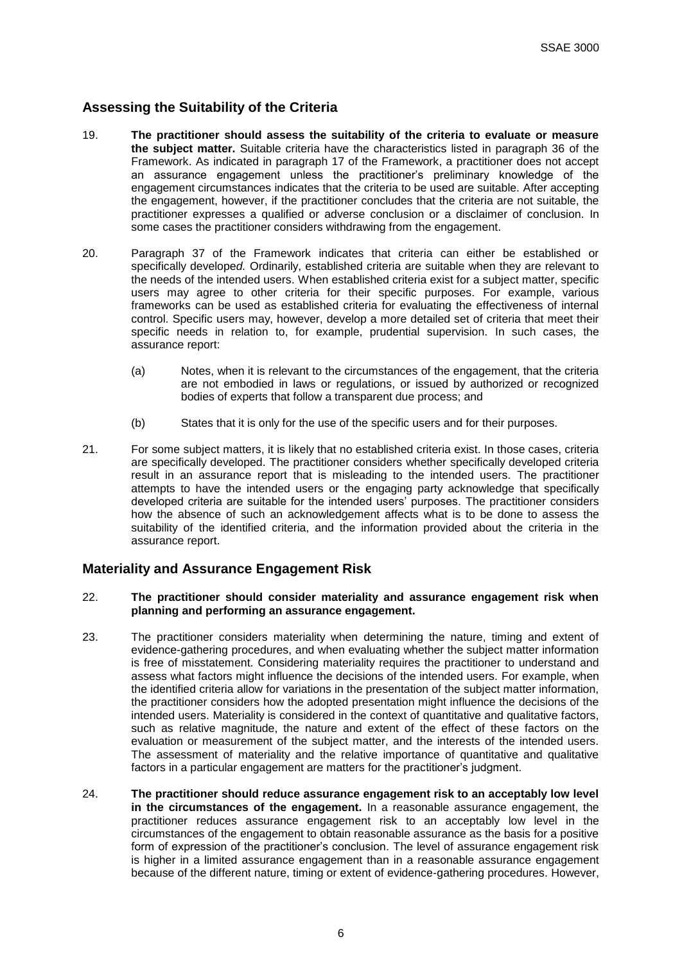#### **Assessing the Suitability of the Criteria**

- 19. **The practitioner should assess the suitability of the criteria to evaluate or measure the subject matter.** Suitable criteria have the characteristics listed in paragraph 36 of the Framework. As indicated in paragraph 17 of the Framework, a practitioner does not accept an assurance engagement unless the practitioner's preliminary knowledge of the engagement circumstances indicates that the criteria to be used are suitable. After accepting the engagement, however, if the practitioner concludes that the criteria are not suitable, the practitioner expresses a qualified or adverse conclusion or a disclaimer of conclusion. In some cases the practitioner considers withdrawing from the engagement.
- 20. Paragraph 37 of the Framework indicates that criteria can either be established or specifically develope*d.* Ordinarily, established criteria are suitable when they are relevant to the needs of the intended users. When established criteria exist for a subject matter, specific users may agree to other criteria for their specific purposes. For example, various frameworks can be used as established criteria for evaluating the effectiveness of internal control. Specific users may, however, develop a more detailed set of criteria that meet their specific needs in relation to, for example, prudential supervision. In such cases, the assurance report:
	- (a) Notes, when it is relevant to the circumstances of the engagement, that the criteria are not embodied in laws or regulations, or issued by authorized or recognized bodies of experts that follow a transparent due process; and
	- (b) States that it is only for the use of the specific users and for their purposes.
- 21. For some subject matters, it is likely that no established criteria exist. In those cases, criteria are specifically developed. The practitioner considers whether specifically developed criteria result in an assurance report that is misleading to the intended users. The practitioner attempts to have the intended users or the engaging party acknowledge that specifically developed criteria are suitable for the intended users' purposes. The practitioner considers how the absence of such an acknowledgement affects what is to be done to assess the suitability of the identified criteria, and the information provided about the criteria in the assurance report.

#### **Materiality and Assurance Engagement Risk**

#### 22. **The practitioner should consider materiality and assurance engagement risk when planning and performing an assurance engagement.**

- 23. The practitioner considers materiality when determining the nature, timing and extent of evidence-gathering procedures, and when evaluating whether the subject matter information is free of misstatement. Considering materiality requires the practitioner to understand and assess what factors might influence the decisions of the intended users. For example, when the identified criteria allow for variations in the presentation of the subject matter information, the practitioner considers how the adopted presentation might influence the decisions of the intended users. Materiality is considered in the context of quantitative and qualitative factors, such as relative magnitude, the nature and extent of the effect of these factors on the evaluation or measurement of the subject matter, and the interests of the intended users. The assessment of materiality and the relative importance of quantitative and qualitative factors in a particular engagement are matters for the practitioner's judgment.
- 24. **The practitioner should reduce assurance engagement risk to an acceptably low level in the circumstances of the engagement.** In a reasonable assurance engagement, the practitioner reduces assurance engagement risk to an acceptably low level in the circumstances of the engagement to obtain reasonable assurance as the basis for a positive form of expression of the practitioner's conclusion. The level of assurance engagement risk is higher in a limited assurance engagement than in a reasonable assurance engagement because of the different nature, timing or extent of evidence-gathering procedures. However,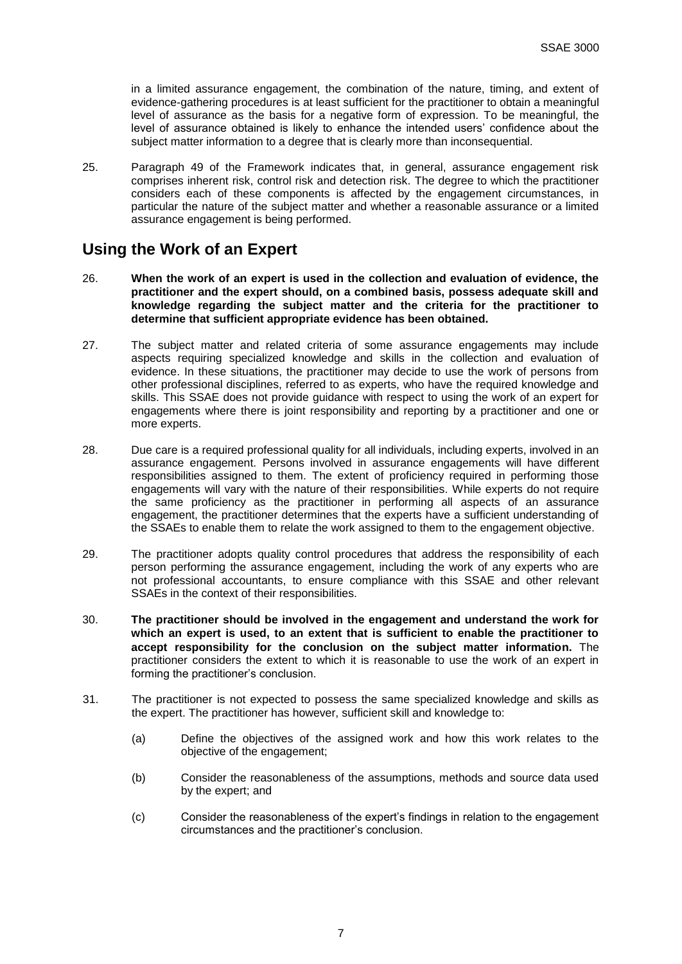in a limited assurance engagement, the combination of the nature, timing, and extent of evidence-gathering procedures is at least sufficient for the practitioner to obtain a meaningful level of assurance as the basis for a negative form of expression. To be meaningful, the level of assurance obtained is likely to enhance the intended users' confidence about the subject matter information to a degree that is clearly more than inconsequential.

25. Paragraph 49 of the Framework indicates that, in general, assurance engagement risk comprises inherent risk, control risk and detection risk. The degree to which the practitioner considers each of these components is affected by the engagement circumstances, in particular the nature of the subject matter and whether a reasonable assurance or a limited assurance engagement is being performed.

### **Using the Work of an Expert**

- 26. **When the work of an expert is used in the collection and evaluation of evidence, the practitioner and the expert should, on a combined basis, possess adequate skill and knowledge regarding the subject matter and the criteria for the practitioner to determine that sufficient appropriate evidence has been obtained.**
- 27. The subject matter and related criteria of some assurance engagements may include aspects requiring specialized knowledge and skills in the collection and evaluation of evidence. In these situations, the practitioner may decide to use the work of persons from other professional disciplines, referred to as experts, who have the required knowledge and skills. This SSAE does not provide guidance with respect to using the work of an expert for engagements where there is joint responsibility and reporting by a practitioner and one or more experts.
- 28. Due care is a required professional quality for all individuals, including experts, involved in an assurance engagement. Persons involved in assurance engagements will have different responsibilities assigned to them. The extent of proficiency required in performing those engagements will vary with the nature of their responsibilities. While experts do not require the same proficiency as the practitioner in performing all aspects of an assurance engagement, the practitioner determines that the experts have a sufficient understanding of the SSAEs to enable them to relate the work assigned to them to the engagement objective.
- 29. The practitioner adopts quality control procedures that address the responsibility of each person performing the assurance engagement, including the work of any experts who are not professional accountants, to ensure compliance with this SSAE and other relevant SSAEs in the context of their responsibilities.
- 30. **The practitioner should be involved in the engagement and understand the work for which an expert is used, to an extent that is sufficient to enable the practitioner to accept responsibility for the conclusion on the subject matter information.** The practitioner considers the extent to which it is reasonable to use the work of an expert in forming the practitioner's conclusion.
- 31. The practitioner is not expected to possess the same specialized knowledge and skills as the expert. The practitioner has however, sufficient skill and knowledge to:
	- (a) Define the objectives of the assigned work and how this work relates to the objective of the engagement;
	- (b) Consider the reasonableness of the assumptions, methods and source data used by the expert; and
	- (c) Consider the reasonableness of the expert's findings in relation to the engagement circumstances and the practitioner's conclusion.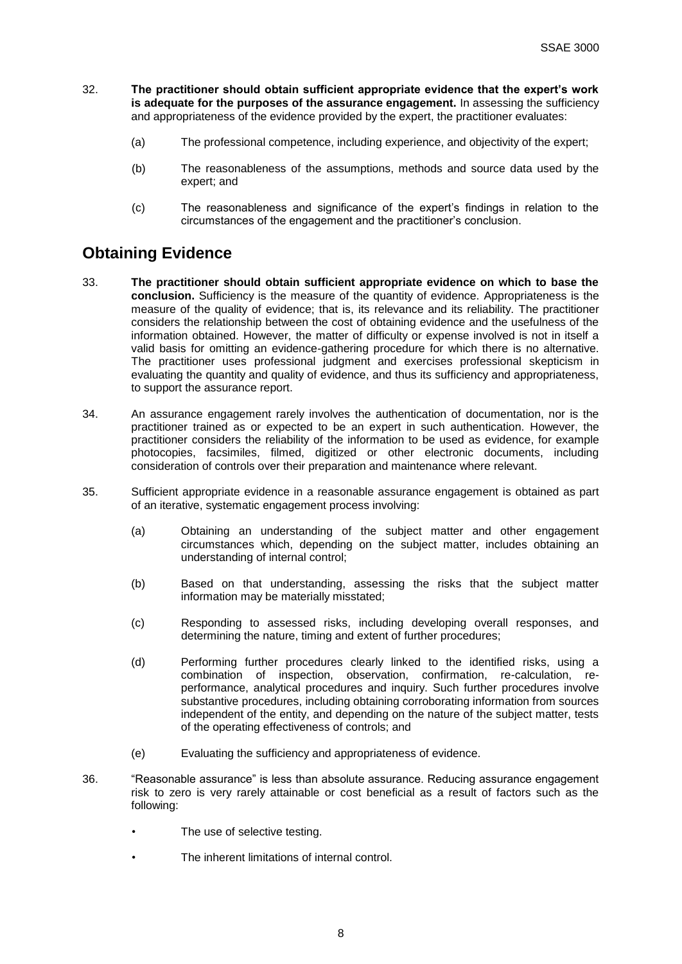- 32. **The practitioner should obtain sufficient appropriate evidence that the expert's work is adequate for the purposes of the assurance engagement.** In assessing the sufficiency and appropriateness of the evidence provided by the expert, the practitioner evaluates:
	- (a) The professional competence, including experience, and objectivity of the expert;
	- (b) The reasonableness of the assumptions, methods and source data used by the expert; and
	- (c) The reasonableness and significance of the expert's findings in relation to the circumstances of the engagement and the practitioner's conclusion.

# **Obtaining Evidence**

- 33. **The practitioner should obtain sufficient appropriate evidence on which to base the conclusion.** Sufficiency is the measure of the quantity of evidence. Appropriateness is the measure of the quality of evidence; that is, its relevance and its reliability. The practitioner considers the relationship between the cost of obtaining evidence and the usefulness of the information obtained. However, the matter of difficulty or expense involved is not in itself a valid basis for omitting an evidence-gathering procedure for which there is no alternative. The practitioner uses professional judgment and exercises professional skepticism in evaluating the quantity and quality of evidence, and thus its sufficiency and appropriateness, to support the assurance report.
- 34. An assurance engagement rarely involves the authentication of documentation, nor is the practitioner trained as or expected to be an expert in such authentication. However, the practitioner considers the reliability of the information to be used as evidence, for example photocopies, facsimiles, filmed, digitized or other electronic documents, including consideration of controls over their preparation and maintenance where relevant.
- 35. Sufficient appropriate evidence in a reasonable assurance engagement is obtained as part of an iterative, systematic engagement process involving:
	- (a) Obtaining an understanding of the subject matter and other engagement circumstances which, depending on the subject matter, includes obtaining an understanding of internal control;
	- (b) Based on that understanding, assessing the risks that the subject matter information may be materially misstated;
	- (c) Responding to assessed risks, including developing overall responses, and determining the nature, timing and extent of further procedures;
	- (d) Performing further procedures clearly linked to the identified risks, using a combination of inspection, observation, confirmation, re-calculation, reperformance, analytical procedures and inquiry. Such further procedures involve substantive procedures, including obtaining corroborating information from sources independent of the entity, and depending on the nature of the subject matter, tests of the operating effectiveness of controls; and
	- (e) Evaluating the sufficiency and appropriateness of evidence.
- 36. "Reasonable assurance" is less than absolute assurance. Reducing assurance engagement risk to zero is very rarely attainable or cost beneficial as a result of factors such as the following:
	- The use of selective testing.
	- The inherent limitations of internal control.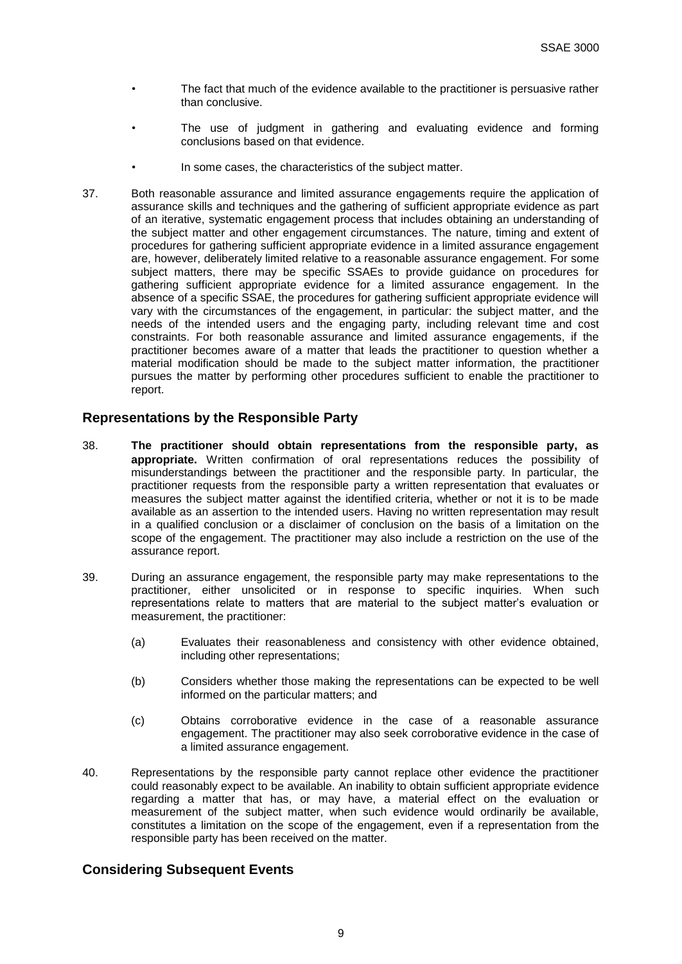- The fact that much of the evidence available to the practitioner is persuasive rather than conclusive.
- The use of judgment in gathering and evaluating evidence and forming conclusions based on that evidence.
- In some cases, the characteristics of the subject matter.
- 37. Both reasonable assurance and limited assurance engagements require the application of assurance skills and techniques and the gathering of sufficient appropriate evidence as part of an iterative, systematic engagement process that includes obtaining an understanding of the subject matter and other engagement circumstances. The nature, timing and extent of procedures for gathering sufficient appropriate evidence in a limited assurance engagement are, however, deliberately limited relative to a reasonable assurance engagement. For some subject matters, there may be specific SSAEs to provide guidance on procedures for gathering sufficient appropriate evidence for a limited assurance engagement. In the absence of a specific SSAE, the procedures for gathering sufficient appropriate evidence will vary with the circumstances of the engagement, in particular: the subject matter, and the needs of the intended users and the engaging party, including relevant time and cost constraints. For both reasonable assurance and limited assurance engagements, if the practitioner becomes aware of a matter that leads the practitioner to question whether a material modification should be made to the subject matter information, the practitioner pursues the matter by performing other procedures sufficient to enable the practitioner to report.

#### **Representations by the Responsible Party**

- 38. **The practitioner should obtain representations from the responsible party, as appropriate.** Written confirmation of oral representations reduces the possibility of misunderstandings between the practitioner and the responsible party. In particular, the practitioner requests from the responsible party a written representation that evaluates or measures the subject matter against the identified criteria, whether or not it is to be made available as an assertion to the intended users. Having no written representation may result in a qualified conclusion or a disclaimer of conclusion on the basis of a limitation on the scope of the engagement. The practitioner may also include a restriction on the use of the assurance report.
- 39. During an assurance engagement, the responsible party may make representations to the practitioner, either unsolicited or in response to specific inquiries. When such representations relate to matters that are material to the subject matter's evaluation or measurement, the practitioner:
	- (a) Evaluates their reasonableness and consistency with other evidence obtained, including other representations;
	- (b) Considers whether those making the representations can be expected to be well informed on the particular matters; and
	- (c) Obtains corroborative evidence in the case of a reasonable assurance engagement. The practitioner may also seek corroborative evidence in the case of a limited assurance engagement.
- 40. Representations by the responsible party cannot replace other evidence the practitioner could reasonably expect to be available. An inability to obtain sufficient appropriate evidence regarding a matter that has, or may have, a material effect on the evaluation or measurement of the subject matter, when such evidence would ordinarily be available, constitutes a limitation on the scope of the engagement, even if a representation from the responsible party has been received on the matter.

#### **Considering Subsequent Events**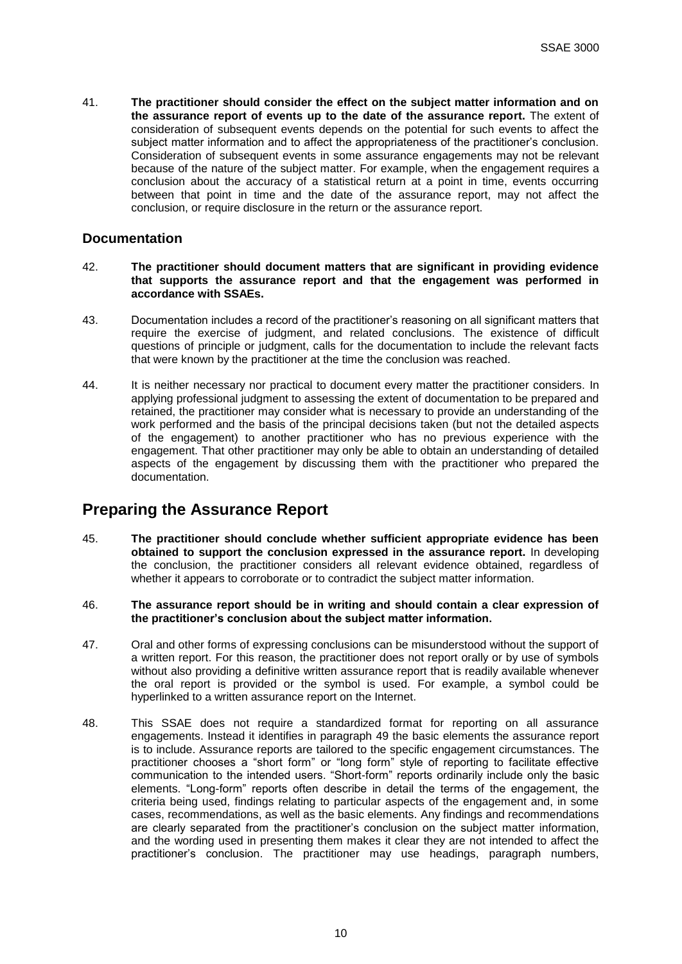41. **The practitioner should consider the effect on the subject matter information and on the assurance report of events up to the date of the assurance report.** The extent of consideration of subsequent events depends on the potential for such events to affect the subject matter information and to affect the appropriateness of the practitioner's conclusion. Consideration of subsequent events in some assurance engagements may not be relevant because of the nature of the subject matter. For example, when the engagement requires a conclusion about the accuracy of a statistical return at a point in time, events occurring between that point in time and the date of the assurance report, may not affect the conclusion, or require disclosure in the return or the assurance report.

#### **Documentation**

- 42. **The practitioner should document matters that are significant in providing evidence that supports the assurance report and that the engagement was performed in accordance with SSAEs.**
- 43. Documentation includes a record of the practitioner's reasoning on all significant matters that require the exercise of judgment, and related conclusions. The existence of difficult questions of principle or judgment, calls for the documentation to include the relevant facts that were known by the practitioner at the time the conclusion was reached.
- 44. It is neither necessary nor practical to document every matter the practitioner considers. In applying professional judgment to assessing the extent of documentation to be prepared and retained, the practitioner may consider what is necessary to provide an understanding of the work performed and the basis of the principal decisions taken (but not the detailed aspects of the engagement) to another practitioner who has no previous experience with the engagement. That other practitioner may only be able to obtain an understanding of detailed aspects of the engagement by discussing them with the practitioner who prepared the documentation.

### **Preparing the Assurance Report**

- 45. **The practitioner should conclude whether sufficient appropriate evidence has been obtained to support the conclusion expressed in the assurance report.** In developing the conclusion, the practitioner considers all relevant evidence obtained, regardless of whether it appears to corroborate or to contradict the subject matter information.
- 46. **The assurance report should be in writing and should contain a clear expression of the practitioner's conclusion about the subject matter information.**
- 47. Oral and other forms of expressing conclusions can be misunderstood without the support of a written report. For this reason, the practitioner does not report orally or by use of symbols without also providing a definitive written assurance report that is readily available whenever the oral report is provided or the symbol is used. For example, a symbol could be hyperlinked to a written assurance report on the Internet.
- 48. This SSAE does not require a standardized format for reporting on all assurance engagements. Instead it identifies in paragraph 49 the basic elements the assurance report is to include. Assurance reports are tailored to the specific engagement circumstances. The practitioner chooses a "short form" or "long form" style of reporting to facilitate effective communication to the intended users. "Short-form" reports ordinarily include only the basic elements. "Long-form" reports often describe in detail the terms of the engagement, the criteria being used, findings relating to particular aspects of the engagement and, in some cases, recommendations, as well as the basic elements. Any findings and recommendations are clearly separated from the practitioner's conclusion on the subject matter information, and the wording used in presenting them makes it clear they are not intended to affect the practitioner's conclusion. The practitioner may use headings, paragraph numbers,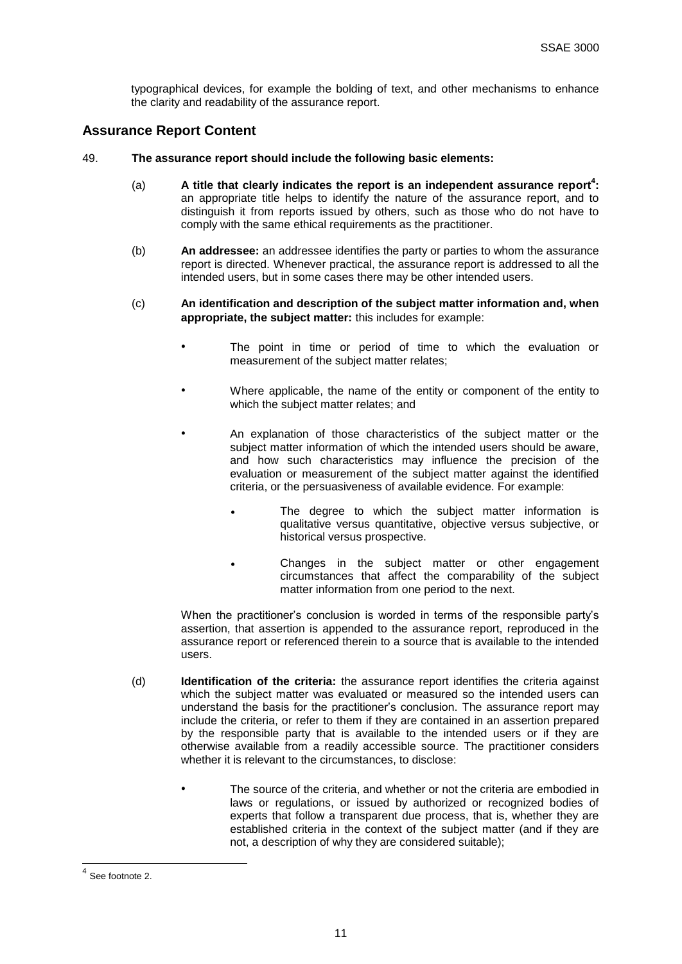typographical devices, for example the bolding of text, and other mechanisms to enhance the clarity and readability of the assurance report.

#### **Assurance Report Content**

- 49. **The assurance report should include the following basic elements:**
	- (a) **A title that clearly indicates the report is an independent assurance report<sup>4</sup> :** an appropriate title helps to identify the nature of the assurance report, and to distinguish it from reports issued by others, such as those who do not have to comply with the same ethical requirements as the practitioner.
	- (b) **An addressee:** an addressee identifies the party or parties to whom the assurance report is directed. Whenever practical, the assurance report is addressed to all the intended users, but in some cases there may be other intended users.
	- (c) **An identification and description of the subject matter information and, when appropriate, the subject matter:** this includes for example:
		- The point in time or period of time to which the evaluation or measurement of the subject matter relates;
		- Where applicable, the name of the entity or component of the entity to which the subject matter relates; and
		- An explanation of those characteristics of the subject matter or the subject matter information of which the intended users should be aware, and how such characteristics may influence the precision of the evaluation or measurement of the subject matter against the identified criteria, or the persuasiveness of available evidence. For example:
			- The degree to which the subject matter information is qualitative versus quantitative, objective versus subjective, or historical versus prospective.
			- Changes in the subject matter or other engagement circumstances that affect the comparability of the subject matter information from one period to the next.

When the practitioner's conclusion is worded in terms of the responsible party's assertion, that assertion is appended to the assurance report, reproduced in the assurance report or referenced therein to a source that is available to the intended users.

- (d) **Identification of the criteria:** the assurance report identifies the criteria against which the subject matter was evaluated or measured so the intended users can understand the basis for the practitioner's conclusion. The assurance report may include the criteria, or refer to them if they are contained in an assertion prepared by the responsible party that is available to the intended users or if they are otherwise available from a readily accessible source. The practitioner considers whether it is relevant to the circumstances, to disclose:
	- The source of the criteria, and whether or not the criteria are embodied in laws or regulations, or issued by authorized or recognized bodies of experts that follow a transparent due process, that is, whether they are established criteria in the context of the subject matter (and if they are not, a description of why they are considered suitable);

 4 See footnote 2.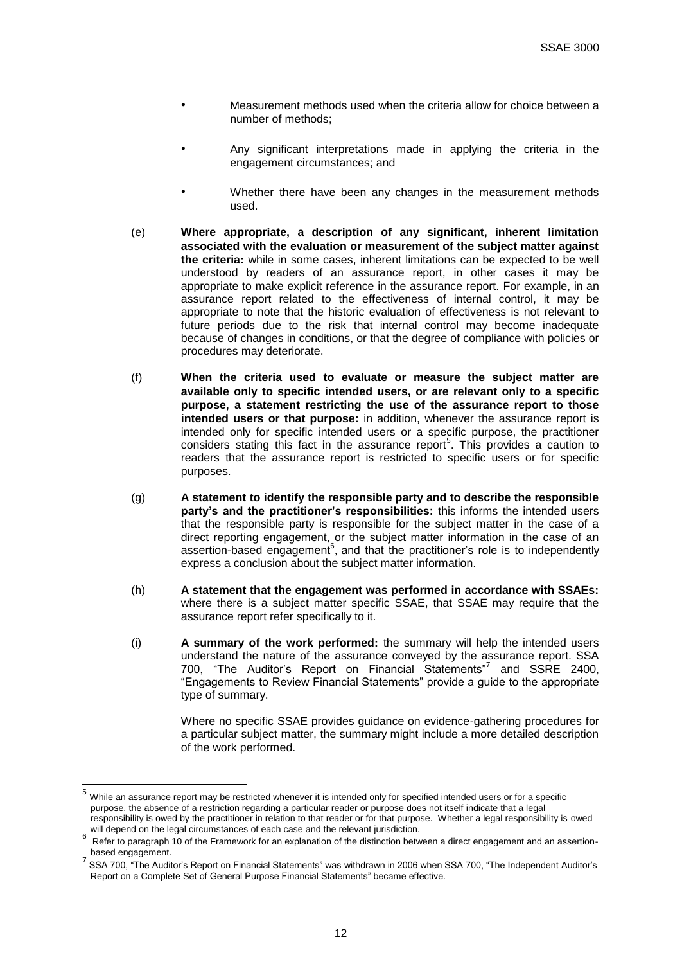- Measurement methods used when the criteria allow for choice between a number of methods;
- Any significant interpretations made in applying the criteria in the engagement circumstances; and
- Whether there have been any changes in the measurement methods used.
- (e) **Where appropriate, a description of any significant, inherent limitation associated with the evaluation or measurement of the subject matter against the criteria:** while in some cases, inherent limitations can be expected to be well understood by readers of an assurance report, in other cases it may be appropriate to make explicit reference in the assurance report. For example, in an assurance report related to the effectiveness of internal control, it may be appropriate to note that the historic evaluation of effectiveness is not relevant to future periods due to the risk that internal control may become inadequate because of changes in conditions, or that the degree of compliance with policies or procedures may deteriorate.
- (f) **When the criteria used to evaluate or measure the subject matter are available only to specific intended users, or are relevant only to a specific purpose, a statement restricting the use of the assurance report to those intended users or that purpose:** in addition, whenever the assurance report is intended only for specific intended users or a specific purpose, the practitioner considers stating this fact in the assurance report<sup>5</sup>. This provides a caution to readers that the assurance report is restricted to specific users or for specific purposes.
- (g) **A statement to identify the responsible party and to describe the responsible party's and the practitioner's responsibilities:** this informs the intended users that the responsible party is responsible for the subject matter in the case of a direct reporting engagement, or the subject matter information in the case of an assertion-based engagement<sup>6</sup>, and that the practitioner's role is to independently express a conclusion about the subject matter information.
- (h) **A statement that the engagement was performed in accordance with SSAEs:**  where there is a subject matter specific SSAE, that SSAE may require that the assurance report refer specifically to it.
- (i) **A summary of the work performed:** the summary will help the intended users understand the nature of the assurance conveyed by the assurance report. SSA 700, "The Auditor's Report on Financial Statements"<sup>7</sup> and SSRE 2400, "Engagements to Review Financial Statements" provide a guide to the appropriate type of summary.

Where no specific SSAE provides guidance on evidence-gathering procedures for a particular subject matter, the summary might include a more detailed description of the work performed.

1

 $<sup>5</sup>$  While an assurance report may be restricted whenever it is intended only for specified intended users or for a specific</sup> purpose, the absence of a restriction regarding a particular reader or purpose does not itself indicate that a legal responsibility is owed by the practitioner in relation to that reader or for that purpose. Whether a legal responsibility is owed will depend on the legal circumstances of each case and the relevant jurisdiction.

<sup>6</sup> Refer to paragraph 10 of the Framework for an explanation of the distinction between a direct engagement and an assertionbased engagement.

<sup>7</sup> SSA 700, "The Auditor's Report on Financial Statements" was withdrawn in 2006 when SSA 700, "The Independent Auditor's Report on a Complete Set of General Purpose Financial Statements" became effective.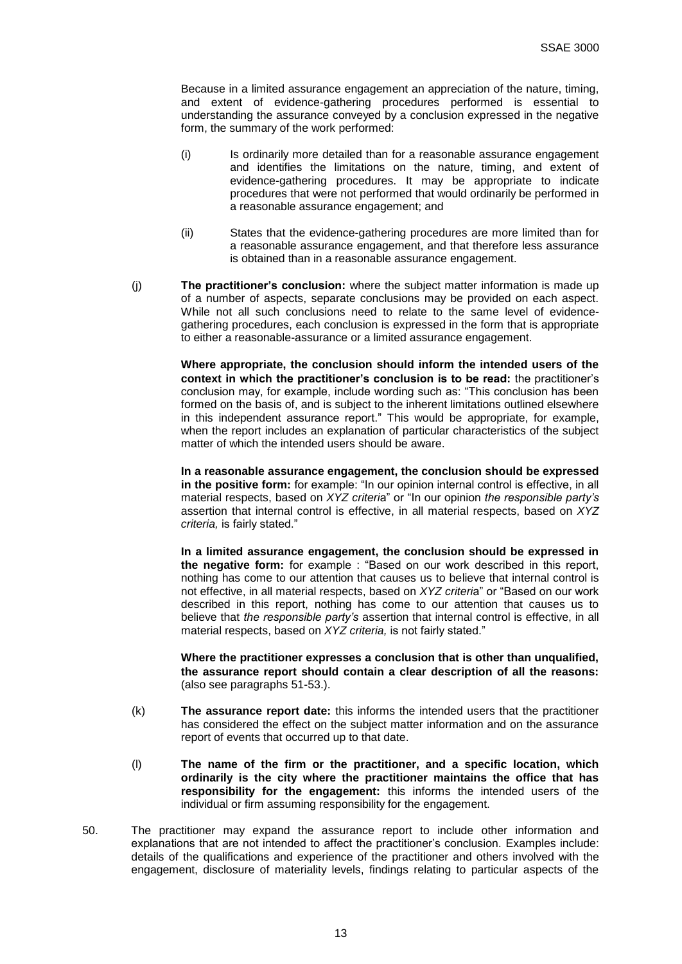Because in a limited assurance engagement an appreciation of the nature, timing, and extent of evidence-gathering procedures performed is essential to understanding the assurance conveyed by a conclusion expressed in the negative form, the summary of the work performed:

- (i) Is ordinarily more detailed than for a reasonable assurance engagement and identifies the limitations on the nature, timing, and extent of evidence-gathering procedures. It may be appropriate to indicate procedures that were not performed that would ordinarily be performed in a reasonable assurance engagement; and
- (ii) States that the evidence-gathering procedures are more limited than for a reasonable assurance engagement, and that therefore less assurance is obtained than in a reasonable assurance engagement.
- (j) **The practitioner's conclusion:** where the subject matter information is made up of a number of aspects, separate conclusions may be provided on each aspect. While not all such conclusions need to relate to the same level of evidencegathering procedures, each conclusion is expressed in the form that is appropriate to either a reasonable-assurance or a limited assurance engagement.

**Where appropriate, the conclusion should inform the intended users of the context in which the practitioner's conclusion is to be read:** the practitioner's conclusion may, for example, include wording such as: "This conclusion has been formed on the basis of, and is subject to the inherent limitations outlined elsewhere in this independent assurance report." This would be appropriate, for example, when the report includes an explanation of particular characteristics of the subject matter of which the intended users should be aware.

**In a reasonable assurance engagement, the conclusion should be expressed in the positive form:** for example: "In our opinion internal control is effective, in all material respects, based on *XYZ criteri*a" or "In our opinion *the responsible party's*  assertion that internal control is effective, in all material respects, based on *XYZ criteria,* is fairly stated."

**In a limited assurance engagement, the conclusion should be expressed in the negative form:** for example : "Based on our work described in this report, nothing has come to our attention that causes us to believe that internal control is not effective, in all material respects, based on *XYZ criteri*a" or "Based on our work described in this report, nothing has come to our attention that causes us to believe that *the responsible party's* assertion that internal control is effective, in all material respects, based on *XYZ criteria,* is not fairly stated."

**Where the practitioner expresses a conclusion that is other than unqualified, the assurance report should contain a clear description of all the reasons:**  (also see paragraphs 51-53.).

- (k) **The assurance report date:** this informs the intended users that the practitioner has considered the effect on the subject matter information and on the assurance report of events that occurred up to that date.
- (l) **The name of the firm or the practitioner, and a specific location, which ordinarily is the city where the practitioner maintains the office that has responsibility for the engagement:** this informs the intended users of the individual or firm assuming responsibility for the engagement.
- 50. The practitioner may expand the assurance report to include other information and explanations that are not intended to affect the practitioner's conclusion. Examples include: details of the qualifications and experience of the practitioner and others involved with the engagement, disclosure of materiality levels, findings relating to particular aspects of the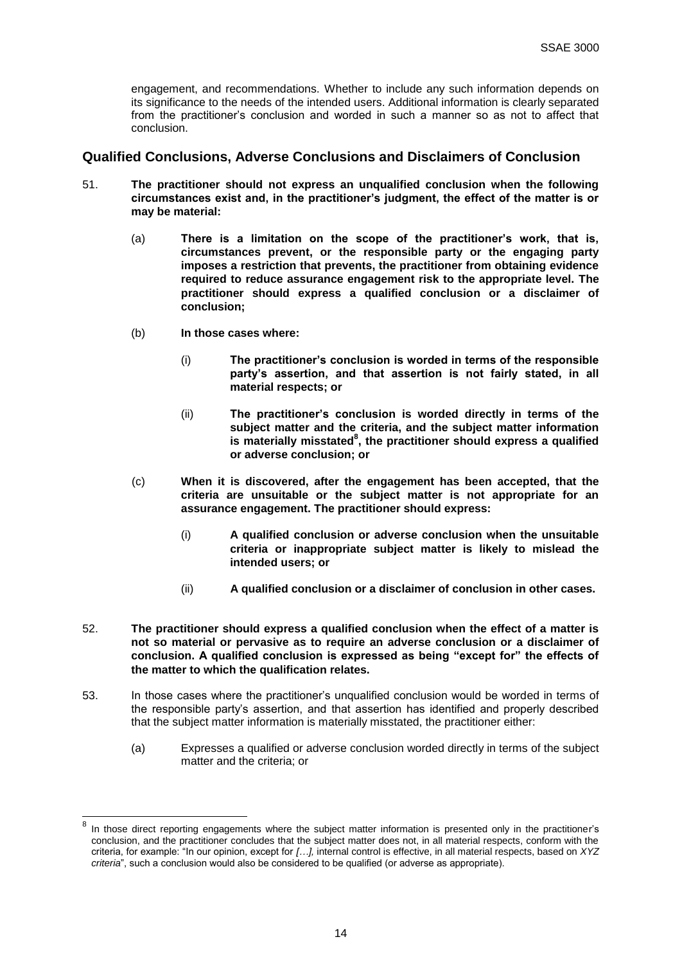engagement, and recommendations. Whether to include any such information depends on its significance to the needs of the intended users. Additional information is clearly separated from the practitioner's conclusion and worded in such a manner so as not to affect that conclusion.

#### **Qualified Conclusions, Adverse Conclusions and Disclaimers of Conclusion**

- 51. **The practitioner should not express an unqualified conclusion when the following circumstances exist and, in the practitioner's judgment, the effect of the matter is or may be material:**
	- (a) **There is a limitation on the scope of the practitioner's work, that is, circumstances prevent, or the responsible party or the engaging party imposes a restriction that prevents, the practitioner from obtaining evidence required to reduce assurance engagement risk to the appropriate level. The practitioner should express a qualified conclusion or a disclaimer of conclusion;**
	- (b) **In those cases where:**
		- (i) **The practitioner's conclusion is worded in terms of the responsible party's assertion, and that assertion is not fairly stated, in all material respects; or**
		- (ii) **The practitioner's conclusion is worded directly in terms of the subject matter and the criteria, and the subject matter information is materially misstated<sup>8</sup> , the practitioner should express a qualified or adverse conclusion; or**
	- (c) **When it is discovered, after the engagement has been accepted, that the criteria are unsuitable or the subject matter is not appropriate for an assurance engagement. The practitioner should express:**
		- (i) **A qualified conclusion or adverse conclusion when the unsuitable criteria or inappropriate subject matter is likely to mislead the intended users; or**
		- (ii) **A qualified conclusion or a disclaimer of conclusion in other cases.**
- 52. **The practitioner should express a qualified conclusion when the effect of a matter is not so material or pervasive as to require an adverse conclusion or a disclaimer of conclusion. A qualified conclusion is expressed as being "except for" the effects of the matter to which the qualification relates.**
- 53. In those cases where the practitioner's unqualified conclusion would be worded in terms of the responsible party's assertion, and that assertion has identified and properly described that the subject matter information is materially misstated, the practitioner either:
	- (a) Expresses a qualified or adverse conclusion worded directly in terms of the subject matter and the criteria; or

 $\frac{1}{8}$ In those direct reporting engagements where the subject matter information is presented only in the practitioner's conclusion, and the practitioner concludes that the subject matter does not, in all material respects, conform with the criteria, for example: "In our opinion, except for *[…],* internal control is effective, in all material respects, based on *XYZ criteria*", such a conclusion would also be considered to be qualified (or adverse as appropriate).